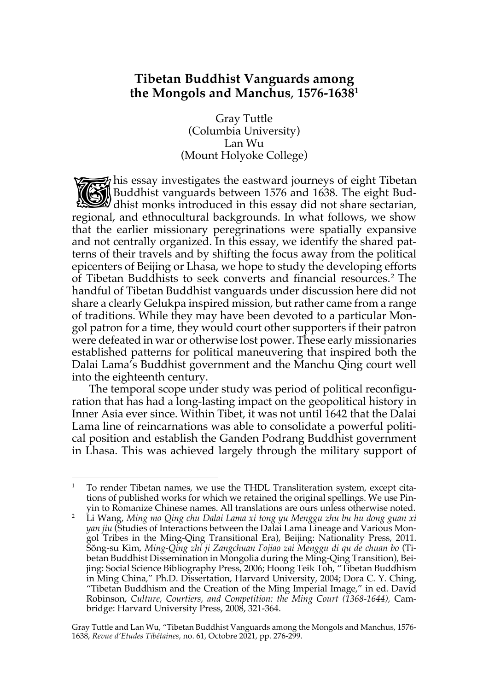# **Tibetan Buddhist Vanguards among the Mongols and Manchus**, **1576-16381**

Gray Tuttle (Columbia University) Lan Wu (Mount Holyoke College)

 $\mathcal{F}_i$  his essay investigates the eastward journeys of eight Tibetan Buddhist vanguards between 1576 and 1638. The eight Budthis essay investigates the eastward journeys of eight Tibetan<br>Buddhist vanguards between 1576 and 1638. The eight Buddhist monks introduced in this essay did not share sectarian, regional, and ethnocultural backgrounds. In what follows, we show that the earlier missionary peregrinations were spatially expansive and not centrally organized. In this essay, we identify the shared patterns of their travels and by shifting the focus away from the political epicenters of Beijing or Lhasa, we hope to study the developing efforts of Tibetan Buddhists to seek converts and financial resources.2 The handful of Tibetan Buddhist vanguards under discussion here did not share a clearly Gelukpa inspired mission, but rather came from a range of traditions. While they may have been devoted to a particular Mongol patron for a time, they would court other supporters if their patron were defeated in war or otherwise lost power. These early missionaries established patterns for political maneuvering that inspired both the Dalai Lama's Buddhist government and the Manchu Qing court well into the eighteenth century.

The temporal scope under study was period of political reconfiguration that has had a long-lasting impact on the geopolitical history in Inner Asia ever since. Within Tibet, it was not until 1642 that the Dalai Lama line of reincarnations was able to consolidate a powerful political position and establish the Ganden Podrang Buddhist government in Lhasa. This was achieved largely through the military support of

Gray Tuttle and Lan Wu, "Tibetan Buddhist Vanguards among the Mongols and Manchus, 1576- 1638, *Revue d'Etudes Tibétaines*, no. 61, Octobre 2021, pp. 276-299.

<sup>1</sup> To render Tibetan names, we use the THDL Transliteration system, except citations of published works for which we retained the original spellings. We use Pinyin to Romanize Chinese names. All translations are ours unless otherwise noted.

<sup>2</sup> Li Wang, *Ming mo Qing chu Dalai Lama xi tong yu Menggu zhu bu hu dong guan xi yan jiu* (Studies of Interactions between the Dalai Lama Lineage and Various Mongol Tribes in the Ming-Qing Transitional Era), Beijing: Nationality Press, 2011. Sŏng-su Kim, *Ming-Qing zhi ji Zangchuan Fojiao zai Menggu di qu de chuan bo* (Tibetan Buddhist Dissemination in Mongolia during the Ming-Qing Transition), Beijing: Social Science Bibliography Press, 2006; Hoong Teik Toh, "Tibetan Buddhism in Ming China*,*" Ph.D. Dissertation, Harvard University, 2004; Dora C. Y. Ching, "Tibetan Buddhism and the Creation of the Ming Imperial Image," in ed. David Robinson, *Culture, Courtiers, and Competition: the Ming Court (1368-1644),* Cambridge: Harvard University Press, 2008, 321-364.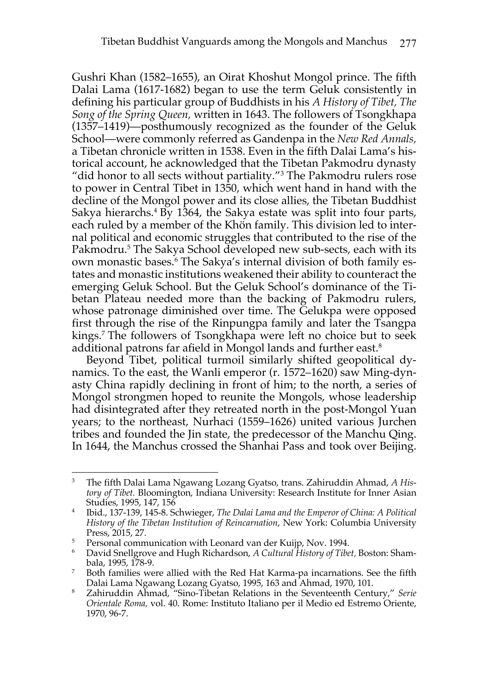Gushri Khan (1582–1655), an Oirat Khoshut Mongol prince. The fifth Dalai Lama (1617-1682) began to use the term Geluk consistently in defining his particular group of Buddhists in his *A History of Tibet, The Song of the Spring Queen,* written in 1643. The followers of Tsongkhapa (1357–1419)—posthumously recognized as the founder of the Geluk School—were commonly referred as Gandenpa in the *New Red Annals,*  a Tibetan chronicle written in 1538. Even in the fifth Dalai Lama's historical account, he acknowledged that the Tibetan Pakmodru dynasty "did honor to all sects without partiality."3 The Pakmodru rulers rose to power in Central Tibet in 1350, which went hand in hand with the decline of the Mongol power and its close allies, the Tibetan Buddhist Sakya hierarchs.<sup>4</sup> By 1364, the Sakya estate was split into four parts, each ruled by a member of the Khön family. This division led to internal political and economic struggles that contributed to the rise of the Pakmodru.<sup>5</sup> The Sakya School developed new sub-sects, each with its own monastic bases.6 The Sakya's internal division of both family estates and monastic institutions weakened their ability to counteract the emerging Geluk School. But the Geluk School's dominance of the Tibetan Plateau needed more than the backing of Pakmodru rulers, whose patronage diminished over time. The Gelukpa were opposed first through the rise of the Rinpungpa family and later the Tsangpa kings.<sup>7</sup> The followers of Tsongkhapa were left no choice but to seek additional patrons far afield in Mongol lands and further east.8

Beyond Tibet, political turmoil similarly shifted geopolitical dynamics. To the east, the Wanli emperor (r. 1572–1620) saw Ming-dynasty China rapidly declining in front of him; to the north, a series of Mongol strongmen hoped to reunite the Mongols, whose leadership had disintegrated after they retreated north in the post-Mongol Yuan years; to the northeast, Nurhaci (1559–1626) united various Jurchen tribes and founded the Jin state, the predecessor of the Manchu Qing. In 1644, the Manchus crossed the Shanhai Pass and took over Beijing.

<sup>3</sup> The fifth Dalai Lama Ngawang Lozang Gyatso, trans. Zahiruddin Ahmad, *A History of Tibet.* Bloomington, Indiana University: Research Institute for Inner Asian Studies, 1995, 147, 156

<sup>4</sup> Ibid., 137-139, 145-8. Schwieger, *The Dalai Lama and the Emperor of China: A Political History of the Tibetan Institution of Reincarnation*, New York: Columbia University Press, 2015, 27.<br><sup>5</sup> Personal communication with Leonard van der Kuijp, Nov. 1994.

<sup>6</sup> David Snellgrove and Hugh Richardson, *A Cultural History of Tibet,* Boston: Shambala, 1995, 178-9.

<sup>&</sup>lt;sup>7</sup> Both families were allied with the Red Hat Karma-pa incarnations. See the fifth Dalai Lama Ngawang Lozang Gyatso, 1995, 163 and Ahmad, 1970, 101.

<sup>8</sup> Zahiruddin Ahmad, "Sino-Tibetan Relations in the Seventeenth Century," *Serie Orientale Roma,* vol. 40. Rome: Instituto Italiano per il Medio ed Estremo Oriente, 1970, 96-7.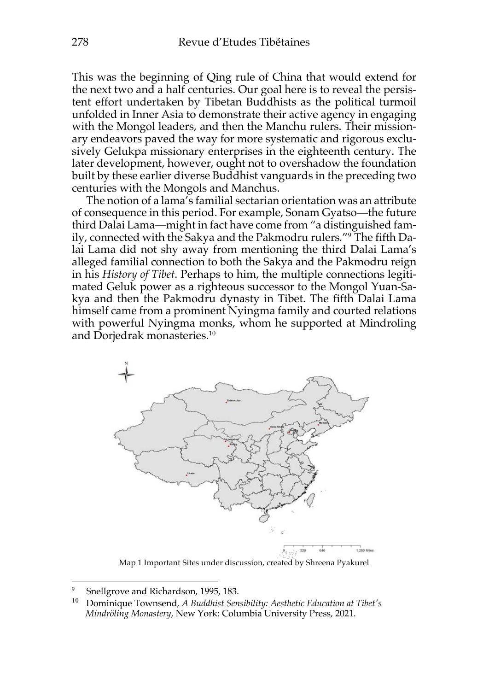This was the beginning of Qing rule of China that would extend for the next two and a half centuries. Our goal here is to reveal the persistent effort undertaken by Tibetan Buddhists as the political turmoil unfolded in Inner Asia to demonstrate their active agency in engaging with the Mongol leaders, and then the Manchu rulers. Their missionary endeavors paved the way for more systematic and rigorous exclusively Gelukpa missionary enterprises in the eighteenth century. The later development, however, ought not to overshadow the foundation built by these earlier diverse Buddhist vanguards in the preceding two centuries with the Mongols and Manchus.

The notion of a lama's familial sectarian orientation was an attribute of consequence in this period. For example, Sonam Gyatso—the future third Dalai Lama—might in fact have come from "a distinguished family, connected with the Sakya and the Pakmodru rulers*.*"9 The fifth Dalai Lama did not shy away from mentioning the third Dalai Lama's alleged familial connection to both the Sakya and the Pakmodru reign in his *History of Tibet*. Perhaps to him, the multiple connections legitimated Geluk power as a righteous successor to the Mongol Yuan-Sakya and then the Pakmodru dynasty in Tibet. The fifth Dalai Lama himself came from a prominent Nyingma family and courted relations with powerful Nyingma monks, whom he supported at Mindroling and Dorjedrak monasteries.10



Map 1 Important Sites under discussion, created by Shreena Pyakurel

<sup>9</sup> Snellgrove and Richardson, 1995, 183.

<sup>10</sup> Dominique Townsend, *A Buddhist Sensibility: Aesthetic Education at Tibet's Mindröling Monastery*, New York: Columbia University Press, 2021.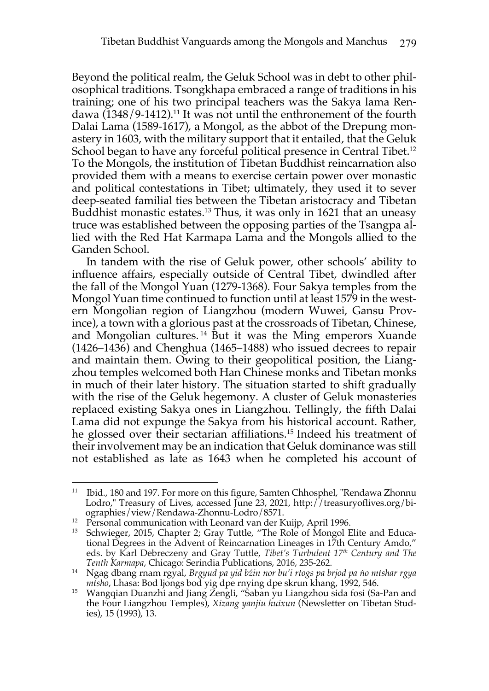Beyond the political realm, the Geluk School was in debt to other philosophical traditions. Tsongkhapa embraced a range of traditions in his training; one of his two principal teachers was the Sakya lama Rendawa (1348/9-1412). <sup>11</sup> It was not until the enthronement of the fourth Dalai Lama (1589-1617), a Mongol, as the abbot of the Drepung monastery in 1603, with the military support that it entailed, that the Geluk School began to have any forceful political presence in Central Tibet.<sup>12</sup> To the Mongols, the institution of Tibetan Buddhist reincarnation also provided them with a means to exercise certain power over monastic and political contestations in Tibet; ultimately, they used it to sever deep-seated familial ties between the Tibetan aristocracy and Tibetan Buddhist monastic estates.13 Thus, it was only in 1621 that an uneasy truce was established between the opposing parties of the Tsangpa allied with the Red Hat Karmapa Lama and the Mongols allied to the Ganden School.

In tandem with the rise of Geluk power, other schools' ability to influence affairs, especially outside of Central Tibet, dwindled after the fall of the Mongol Yuan (1279-1368). Four Sakya temples from the Mongol Yuan time continued to function until at least 1579 in the western Mongolian region of Liangzhou (modern Wuwei, Gansu Province), a town with a glorious past at the crossroads of Tibetan, Chinese, and Mongolian cultures.<sup>14</sup> But it was the Ming emperors Xuande (1426–1436) and Chenghua (1465–1488) who issued decrees to repair and maintain them. Owing to their geopolitical position, the Liangzhou temples welcomed both Han Chinese monks and Tibetan monks in much of their later history. The situation started to shift gradually with the rise of the Geluk hegemony. A cluster of Geluk monasteries replaced existing Sakya ones in Liangzhou. Tellingly, the fifth Dalai Lama did not expunge the Sakya from his historical account. Rather, he glossed over their sectarian affiliations. <sup>15</sup> Indeed his treatment of their involvement may be an indication that Geluk dominance was still not established as late as 1643 when he completed his account of

<sup>&</sup>lt;sup>11</sup> Ibid., 180 and 197. For more on this figure, Samten Chhosphel, "Rendawa Zhonnu Lodro," Treasury of Lives, accessed June 23, 2021, http://treasuryoflives.org/biographies/view/Rendawa-Zhonnu-Lodro/8571.

<sup>&</sup>lt;sup>12</sup> Personal communication with Leonard van der Kuijp, April 1996.<br><sup>13</sup> Schwigger, 2015, Chapter 2: Cray Tuttle, "The Role of Mongol E

<sup>13</sup> Schwieger, 2015, Chapter 2; Gray Tuttle, "The Role of Mongol Elite and Educational Degrees in the Advent of Reincarnation Lineages in 17th Century Amdo," eds. by Karl Debreczeny and Gray Tuttle, *Tibet's Turbulent 17th Century and The Tenth Karmapa*, Chicago: Serindia Publications, 2016, 235-262.

<sup>14</sup> Ngag dbang rnam rgyal, *Brgyud pa yid bźin nor bu'i rtogs pa brjod pa ṅo mtshar rgya mtsho*, Lhasa: Bod ljongs bod yig dpe rnying dpe skrun khang, 1992, 546.

<sup>15</sup> Wangqian Duanzhi and Jiang Zengli, "Saban yu Liangzhou sida fosi (Sa-Pan and the Four Liangzhou Temples), *Xizang yanjiu huixun* (Newsletter on Tibetan Studies), 15 (1993), 13.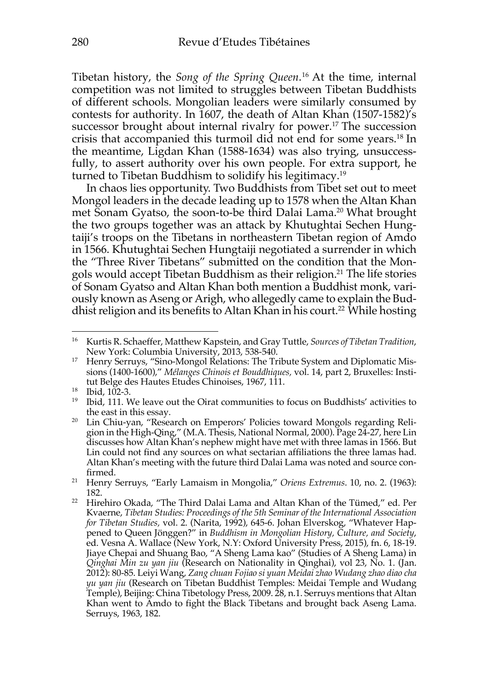Tibetan history, the *Song of the Spring Queen*. <sup>16</sup> At the time, internal competition was not limited to struggles between Tibetan Buddhists of different schools. Mongolian leaders were similarly consumed by contests for authority. In 1607, the death of Altan Khan (1507-1582)'s successor brought about internal rivalry for power.<sup>17</sup> The succession crisis that accompanied this turmoil did not end for some years.18 In the meantime, Ligdan Khan (1588-1634) was also trying, unsuccessfully, to assert authority over his own people. For extra support, he turned to Tibetan Buddhism to solidify his legitimacy. 19

In chaos lies opportunity. Two Buddhists from Tibet set out to meet Mongol leaders in the decade leading up to 1578 when the Altan Khan met Sonam Gyatso, the soon-to-be third Dalai Lama. <sup>20</sup> What brought the two groups together was an attack by Khutughtai Sechen Hungtaiji's troops on the Tibetans in northeastern Tibetan region of Amdo in 1566. Khutughtai Sechen Hungtaiji negotiated a surrender in which the "Three River Tibetans" submitted on the condition that the Mongols would accept Tibetan Buddhism as their religion. <sup>21</sup> The life stories of Sonam Gyatso and Altan Khan both mention a Buddhist monk, variously known as Aseng or Arigh, who allegedly came to explain the Buddhist religion and its benefits to Altan Khan in his court. <sup>22</sup> While hosting

<sup>16</sup> Kurtis R. Schaeffer, Matthew Kapstein, and Gray Tuttle, *Sources of Tibetan Tradition*,

New York: Columbia University, 2013, 538-540.<br><sup>17</sup> Henry Serruys, "Sino-Mongol Relations: The Tribute System and Diplomatic Missions (1400-1600)," *Mélanges Chinois et Bouddhiques,* vol. 14, part 2, Bruxelles: Institut Belge des Hautes Etudes Chinoises, 1967, 111.

<sup>&</sup>lt;sup>18</sup> Ibid, 102-3.

<sup>&</sup>lt;sup>19</sup> Ibid, 111. We leave out the Oirat communities to focus on Buddhists' activities to the east in this essay.

<sup>&</sup>lt;sup>20</sup> Lin Chiu-yan, "Research on Emperors' Policies toward Mongols regarding Religion in the High-Qing," (M.A. Thesis, National Normal, 2000). Page 24-27, here Lin discusses how Altan Khan's nephew might have met with three lamas in 1566. But Lin could not find any sources on what sectarian affiliations the three lamas had. Altan Khan's meeting with the future third Dalai Lama was noted and source con-

firmed. 21 Henry Serruys, "Early Lamaism in Mongolia," *Oriens Extremus*. 10, no. 2. (1963): 182.

<sup>&</sup>lt;sup>22</sup> Hirehiro Okada, "The Third Dalai Lama and Altan Khan of the Tümed," ed. Per Kvaerne, *Tibetan Studies: Proceedings of the 5th Seminar of the International Association for Tibetan Studies,* vol. 2. (Narita, 1992), 645-6. Johan Elverskog, "Whatever Happened to Queen Jönggen?" in *Buddhism in Mongolian History, Culture, and Society*, ed. Vesna A. Wallace (New York, N.Y: Oxford University Press, 2015), fn. 6, 18-19. Jiaye Chepai and Shuang Bao, "A Sheng Lama kao" (Studies of A Sheng Lama) in *Qinghai Min zu yan jiu* (Research on Nationality in Qinghai), vol 23, No. 1. (Jan. 2012): 80-85. Leiyi Wang, *Zang chuan Fojiao si yuan Meidai zhao Wudang zhao diao cha yu yan jiu* (Research on Tibetan Buddhist Temples: Meidai Temple and Wudang Temple), Beijing: China Tibetology Press, 2009. 28, n.1. Serruys mentions that Altan Khan went to Amdo to fight the Black Tibetans and brought back Aseng Lama. Serruys, 1963, 182.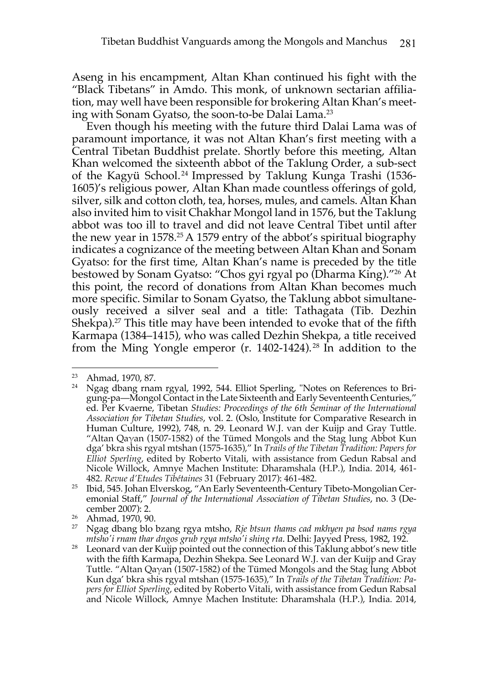Aseng in his encampment, Altan Khan continued his fight with the "Black Tibetans" in Amdo. This monk, of unknown sectarian affiliation, may well have been responsible for brokering Altan Khan's meeting with Sonam Gyatso, the soon-to-be Dalai Lama. 23

Even though his meeting with the future third Dalai Lama was of paramount importance, it was not Altan Khan's first meeting with a Central Tibetan Buddhist prelate. Shortly before this meeting, Altan Khan welcomed the sixteenth abbot of the Taklung Order, a sub-sect of the Kagyü School. <sup>24</sup> Impressed by Taklung Kunga Trashi (1536- 1605)'s religious power, Altan Khan made countless offerings of gold, silver, silk and cotton cloth, tea, horses, mules, and camels. Altan Khan also invited him to visit Chakhar Mongol land in 1576, but the Taklung abbot was too ill to travel and did not leave Central Tibet until after the new year in  $1578<sup>25</sup> A 1579$  entry of the abbot's spiritual biography indicates a cognizance of the meeting between Altan Khan and Sonam Gyatso: for the first time, Altan Khan's name is preceded by the title bestowed by Sonam Gyatso: "Chos gyi rgyal po (Dharma King)."26 At this point, the record of donations from Altan Khan becomes much more specific. Similar to Sonam Gyatso, the Taklung abbot simultaneously received a silver seal and a title: Tathagata (Tib. Dezhin Shekpa). <sup>27</sup> This title may have been intended to evoke that of the fifth Karmapa (1384–1415), who was called Dezhin Shekpa, a title received from the Ming Yongle emperor (r. 1402-1424). <sup>28</sup> In addition to the

<sup>23</sup> Ahmad, 1970, 87.

<sup>&</sup>lt;sup>24</sup> Ngag dbang rnam rgyal, 1992, 544. Elliot Sperling, "Notes on References to Brigung-pa—Mongol Contact in the Late Sixteenth and Early Seventeenth Centuries," ed. Per Kvaerne, Tibetan *Studies: Proceedings of the 6th Seminar of the International Association for Tibetan Studies*, vol. 2. (Oslo, Institute for Comparative Research in Human Culture, 1992), 748, n. 29. Leonard W.J. van der Kuijp and Gray Tuttle. "Altan Qaγan (1507-1582) of the Tümed Mongols and the Stag lung Abbot Kun dga' bkra shis rgyal mtshan (1575-1635)," In *Trails of the Tibetan Tradition: Papers for Elliot Sperling*, edited by Roberto Vitali, with assistance from Gedun Rabsal and Nicole Willock, Amnye Machen Institute: Dharamshala (H.P.), India. 2014, 461- 482. *Revue d'Etudes Tibétaines* 31 (February 2017): 461-482.

<sup>&</sup>lt;sup>25</sup> Ibid, 545. Johan Elverskog, "An Early Seventeenth-Century Tibeto-Mongolian Ceremonial Staff," *Journal of the International Association of Tibetan Studies*, no. 3 (December 2007): 2.

<sup>26</sup> Ahmad, 1970, 90.

<sup>27</sup> Ngag dbang blo bzang rgya mtsho, *Rje btsun thams cad mkhyen pa bsod nams rgya mtsho'i rnam thar dngos grub rgya mtsho'i shing rta*. Delhi: Jayyed Press, 1982, 192.

<sup>&</sup>lt;sup>28</sup> Leonard van der Kuijp pointed out the connection of this Taklung abbot's new title with the fifth Karmapa, Dezhin Shekpa. See Leonard W.J. van der Kuijp and Gray Tuttle. "Altan Qaγan (1507-1582) of the Tümed Mongols and the Stag lung Abbot Kun dga' bkra shis rgyal mtshan (1575-1635)," In *Trails of the Tibetan Tradition: Papers for Elliot Sperling*, edited by Roberto Vitali, with assistance from Gedun Rabsal and Nicole Willock, Amnye Machen Institute: Dharamshala (H.P.), India. 2014,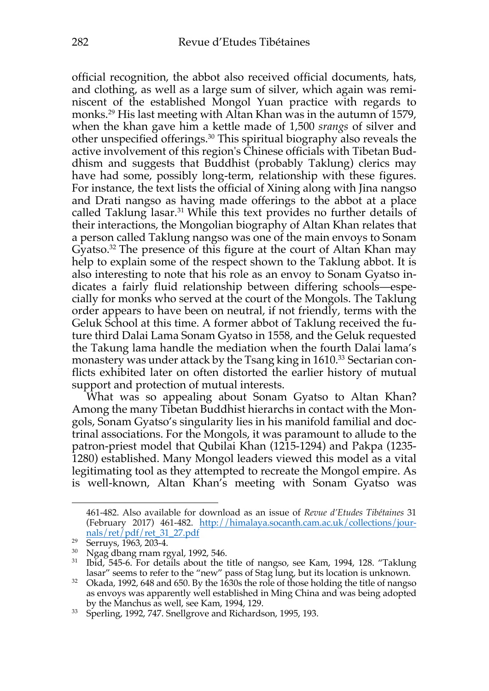official recognition, the abbot also received official documents, hats, and clothing, as well as a large sum of silver, which again was reminiscent of the established Mongol Yuan practice with regards to monks. <sup>29</sup> His last meeting with Altan Khan was in the autumn of 1579, when the khan gave him a kettle made of 1,500 *srangs* of silver and other unspecified offerings.30 This spiritual biography also reveals the active involvement of this region's Chinese officials with Tibetan Buddhism and suggests that Buddhist (probably Taklung) clerics may have had some, possibly long-term, relationship with these figures. For instance, the text lists the official of Xining along with Jina nangso and Drati nangso as having made offerings to the abbot at a place called Taklung lasar. <sup>31</sup> While this text provides no further details of their interactions, the Mongolian biography of Altan Khan relates that a person called Taklung nangso was one of the main envoys to Sonam Gyatso.32 The presence of this figure at the court of Altan Khan may help to explain some of the respect shown to the Taklung abbot. It is also interesting to note that his role as an envoy to Sonam Gyatso indicates a fairly fluid relationship between differing schools—especially for monks who served at the court of the Mongols. The Taklung order appears to have been on neutral, if not friendly, terms with the Geluk School at this time. A former abbot of Taklung received the future third Dalai Lama Sonam Gyatso in 1558, and the Geluk requested the Takung lama handle the mediation when the fourth Dalai lama's monastery was under attack by the Tsang king in 1610.<sup>33</sup> Sectarian conflicts exhibited later on often distorted the earlier history of mutual support and protection of mutual interests.

What was so appealing about Sonam Gyatso to Altan Khan? Among the many Tibetan Buddhist hierarchs in contact with the Mongols, Sonam Gyatso's singularity lies in his manifold familial and doctrinal associations. For the Mongols, it was paramount to allude to the patron-priest model that Qubilai Khan (1215-1294) and Pakpa (1235- 1280) established. Many Mongol leaders viewed this model as a vital legitimating tool as they attempted to recreate the Mongol empire. As is well-known, Altan Khan's meeting with Sonam Gyatso was

<sup>461-482.</sup> Also available for download as an issue of *Revue d'Etudes Tibétaines* 31 (February 2017) 461-482. http://himalaya.socanth.cam.ac.uk/collections/journals/ret/pdf/ret\_31\_27.pdf

<sup>&</sup>lt;sup>29</sup> Serruys, 1963, 203-4.<br><sup>30</sup> Ngag dbang rnam rgyal, 1992, 546.

<sup>&</sup>lt;sup>31</sup> Ibid, 545-6. For details about the title of nangso, see Kam, 1994, 128. "Taklung lasar" seems to refer to the "new" pass of Stag lung, but its location is unknown.

<sup>&</sup>lt;sup>32</sup> Okada, 1992, 648 and 650. By the 1630s the role of those holding the title of nangso as envoys was apparently well established in Ming China and was being adopted by the Manchus as well, see Kam, 1994, 129.<br><sup>33</sup> Sperling, 1992, 747. Snellgrove and Richardson, 1995, 193.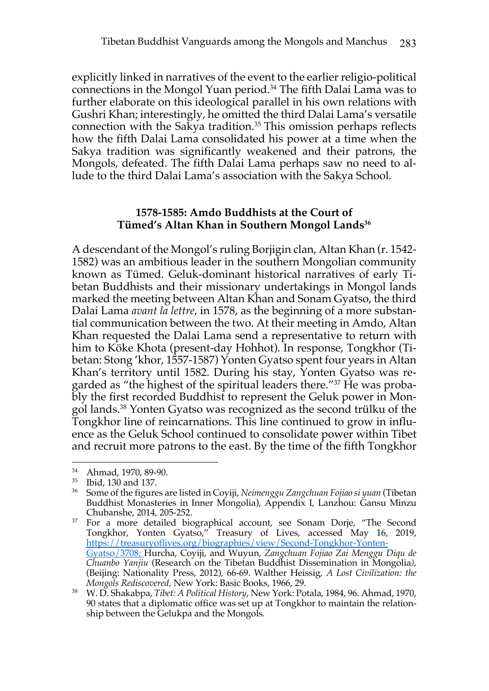explicitly linked in narratives of the event to the earlier religio-political connections in the Mongol Yuan period. <sup>34</sup> The fifth Dalai Lama was to further elaborate on this ideological parallel in his own relations with Gushri Khan; interestingly, he omitted the third Dalai Lama's versatile connection with the Sakya tradition. <sup>35</sup> This omission perhaps reflects how the fifth Dalai Lama consolidated his power at a time when the Sakya tradition was significantly weakened and their patrons, the Mongols, defeated. The fifth Dalai Lama perhaps saw no need to allude to the third Dalai Lama's association with the Sakya School.

# **1578-1585: Amdo Buddhists at the Court of Tümed's Altan Khan in Southern Mongol Lands36**

A descendant of the Mongol's ruling Borjigin clan, Altan Khan (r. 1542- 1582) was an ambitious leader in the southern Mongolian community known as Tümed. Geluk-dominant historical narratives of early Tibetan Buddhists and their missionary undertakings in Mongol lands marked the meeting between Altan Khan and Sonam Gyatso, the third Dalai Lama *avant la lettre*, in 1578, as the beginning of a more substantial communication between the two. At their meeting in Amdo, Altan Khan requested the Dalai Lama send a representative to return with him to Köke Khota (present-day Hohhot). In response, Tongkhor (Tibetan: Stong 'khor, 1557-1587) Yonten Gyatso spent four years in Altan Khan's territory until 1582. During his stay, Yonten Gyatso was regarded as "the highest of the spiritual leaders there."37 He was probably the first recorded Buddhist to represent the Geluk power in Mongol lands. <sup>38</sup> Yonten Gyatso was recognized as the second trülku of the Tongkhor line of reincarnations. This line continued to grow in influence as the Geluk School continued to consolidate power within Tibet and recruit more patrons to the east. By the time of the fifth Tongkhor

<sup>34</sup> Ahmad, 1970, 89-90.

<sup>35</sup> Ibid, 130 and 137.

<sup>36</sup> Some of the figures are listed in Coyiji, *Neimenggu Zangchuan Fojiao si yuan* (Tibetan Buddhist Monasteries in Inner Mongolia), Appendix I, Lanzhou: Gansu Minzu Chubanshe, 2014, 205-252.

<sup>&</sup>lt;sup>37</sup> For a more detailed biographical account, see Sonam Dorje, "The Second Tongkhor, Yonten Gyatso," Treasury of Lives, accessed May 16, 2019, https://treasuryoflives.org/biographies/view/Second-Tongkhor-Yonten-Gyatso/3708; Hurcha, Coyiji, and Wuyun, *Zangchuan Fojiao Zai Menggu Diqu de Chuanbo Yanjiu* (Research on the Tibetan Buddhist Dissemination in Mongolia*)*, (Beijing: Nationality Press, 2012), 66-69. Walther Heissig, *A Lost Civilization: the Mongols Rediscovered,* New York: Basic Books, 1966, 29.

<sup>38</sup> W. D. Shakabpa, *Tibet: A Political History*, New York: Potala, 1984, 96. Ahmad, 1970, 90 states that a diplomatic office was set up at Tongkhor to maintain the relationship between the Gelukpa and the Mongols.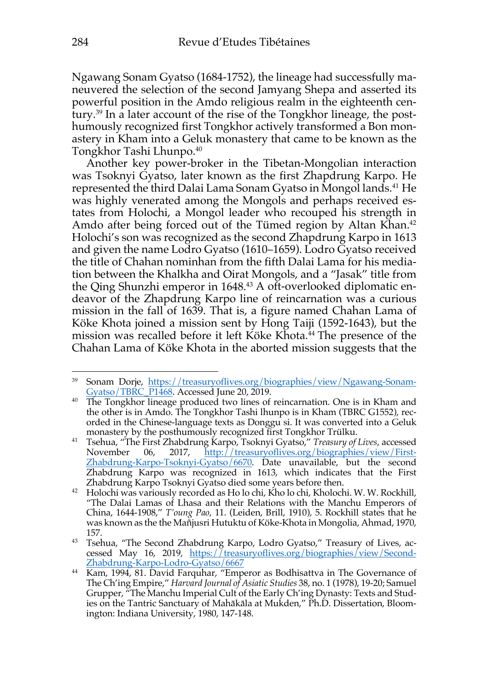Ngawang Sonam Gyatso (1684-1752), the lineage had successfully maneuvered the selection of the second Jamyang Shepa and asserted its powerful position in the Amdo religious realm in the eighteenth century.39 In a later account of the rise of the Tongkhor lineage, the posthumously recognized first Tongkhor actively transformed a Bon monastery in Kham into a Geluk monastery that came to be known as the Tongkhor Tashi Lhunpo.40

Another key power-broker in the Tibetan-Mongolian interaction was Tsoknyi Gyatso, later known as the first Zhapdrung Karpo. He represented the third Dalai Lama Sonam Gyatso in Mongol lands. <sup>41</sup> He was highly venerated among the Mongols and perhaps received estates from Holochi, a Mongol leader who recouped his strength in Amdo after being forced out of the Tümed region by Altan Khan. 42 Holochi's son was recognized as the second Zhapdrung Karpo in 1613 and given the name Lodro Gyatso (1610–1659). Lodro Gyatso received the title of Chahan nominhan from the fifth Dalai Lama for his mediation between the Khalkha and Oirat Mongols, and a "Jasak" title from the Qing Shunzhi emperor in 1648.<sup>43</sup> A oft-overlooked diplomatic endeavor of the Zhapdrung Karpo line of reincarnation was a curious mission in the fall of 1639. That is, a figure named Chahan Lama of Köke Khota joined a mission sent by Hong Taiji (1592-1643), but the mission was recalled before it left Köke Khota.<sup>44</sup> The presence of the Chahan Lama of Köke Khota in the aborted mission suggests that the

<sup>&</sup>lt;sup>39</sup> Sonam Dorje, https://treasuryoflives.org/biographies/view/Ngawang-Sonam-Gyatso/TBRC\_P1468. Accessed June 20, 2019.

<sup>&</sup>lt;sup>40</sup> The Tongkhor lineage produced two lines of reincarnation. One is in Kham and the other is in Amdo. The Tongkhor Tashi lhunpo is in Kham (TBRC G1552), recorded in the Chinese-language texts as Donggu si. It was converted into a Geluk monastery by the posthumously recognized first Tongkhor Trülku.

<sup>&</sup>lt;sup>41</sup> Tsehua, "The First Zhabdrung Karpo, Tsoknyi Gyatso," *Treasury of Lives*, accessed<br>November 06, 2017, <u>http://treasuryoflives.org/biographies/view/First-</u> November 06, 2017, http://treasuryoflives.org/biographies/view/First-Zhabdrung-Karpo-Tsoknyi-Gyatso/6670. Date unavailable, but the second Zhabdrung Karpo was recognized in 1613, which indicates that the First

<sup>&</sup>lt;sup>42</sup> Holochi was variously recorded as Ho lo chi, Kho lo chi, Kholochi. W. W. Rockhill, "The Dalai Lamas of Lhasa and their Relations with the Manchu Emperors of China, 1644-1908," *T'oung Pao*, 11. (Leiden, Brill, 1910), 5. Rockhill states that he was known as the the Mañjusri Hutuktu of Köke-Khota in Mongolia, Ahmad, 1970, 157.

<sup>43</sup> Tsehua, "The Second Zhabdrung Karpo, Lodro Gyatso," Treasury of Lives, accessed May 16, 2019, https://treasuryoflives.org/biographies/view/Second-Zhabdrung-Karpo-Lodro-Gyatso/6667

<sup>44</sup> Kam, 1994, 81. David Farquhar, "Emperor as Bodhisattva in The Governance of The Ch'ing Empire," *Harvard Journal of Asiatic Studies* 38, no. 1 (1978), 19-20; Samuel Grupper, "The Manchu Imperial Cult of the Early Ch'ing Dynasty: Texts and Studies on the Tantric Sanctuary of Mahākāla at Mukden," Ph.D. Dissertation, Bloomington: Indiana University, 1980, 147-148.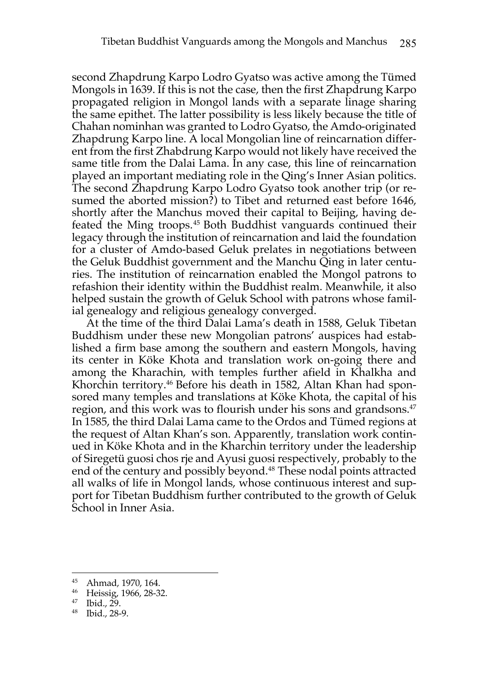second Zhapdrung Karpo Lodro Gyatso was active among the Tümed Mongols in 1639. If this is not the case, then the first Zhapdrung Karpo propagated religion in Mongol lands with a separate linage sharing the same epithet. The latter possibility is less likely because the title of Chahan nominhan was granted to Lodro Gyatso, the Amdo-originated Zhapdrung Karpo line. A local Mongolian line of reincarnation different from the first Zhabdrung Karpo would not likely have received the same title from the Dalai Lama. In any case, this line of reincarnation played an important mediating role in the Qing's Inner Asian politics. The second Zhapdrung Karpo Lodro Gyatso took another trip (or resumed the aborted mission?) to Tibet and returned east before 1646, shortly after the Manchus moved their capital to Beijing, having defeated the Ming troops. <sup>45</sup> Both Buddhist vanguards continued their legacy through the institution of reincarnation and laid the foundation for a cluster of Amdo-based Geluk prelates in negotiations between the Geluk Buddhist government and the Manchu Qing in later centuries. The institution of reincarnation enabled the Mongol patrons to refashion their identity within the Buddhist realm. Meanwhile, it also helped sustain the growth of Geluk School with patrons whose familial genealogy and religious genealogy converged.

At the time of the third Dalai Lama's death in 1588, Geluk Tibetan Buddhism under these new Mongolian patrons' auspices had established a firm base among the southern and eastern Mongols, having its center in Köke Khota and translation work on-going there and among the Kharachin, with temples further afield in Khalkha and Khorchin territory.<sup>46</sup> Before his death in 1582, Altan Khan had sponsored many temples and translations at Köke Khota, the capital of his region, and this work was to flourish under his sons and grandsons.<sup>47</sup> In 1585, the third Dalai Lama came to the Ordos and Tümed regions at the request of Altan Khan's son. Apparently, translation work continued in Köke Khota and in the Kharchin territory under the leadership of Siregetü guosi chos rje and Ayusi guosi respectively, probably to the end of the century and possibly beyond.<sup>48</sup> These nodal points attracted all walks of life in Mongol lands, whose continuous interest and support for Tibetan Buddhism further contributed to the growth of Geluk School in Inner Asia.

<sup>45</sup> Ahmad, 1970, 164.

 $^{46}$  Heissig, 1966, 28-32.

Ibid., 29.

<sup>48</sup> Ibid., 28-9.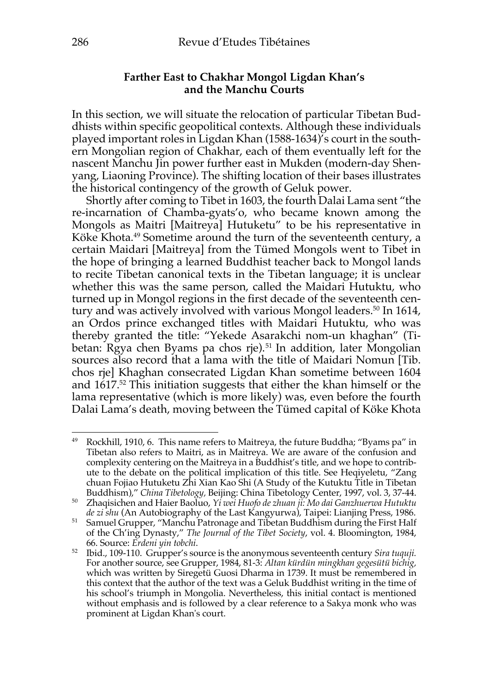# **Farther East to Chakhar Mongol Ligdan Khan's and the Manchu Courts**

In this section, we will situate the relocation of particular Tibetan Buddhists within specific geopolitical contexts. Although these individuals played important roles in Ligdan Khan (1588-1634)'s court in the southern Mongolian region of Chakhar, each of them eventually left for the nascent Manchu Jin power further east in Mukden (modern-day Shenyang, Liaoning Province). The shifting location of their bases illustrates the historical contingency of the growth of Geluk power.

Shortly after coming to Tibet in 1603, the fourth Dalai Lama sent "the re-incarnation of Chamba-gyats'o, who became known among the Mongols as Maitri [Maitreya] Hutuketu" to be his representative in Köke Khota.<sup>49</sup> Sometime around the turn of the seventeenth century, a certain Maidari [Maitreya] from the Tümed Mongols went to Tibet in the hope of bringing a learned Buddhist teacher back to Mongol lands to recite Tibetan canonical texts in the Tibetan language; it is unclear whether this was the same person, called the Maidari Hutuktu, who turned up in Mongol regions in the first decade of the seventeenth century and was actively involved with various Mongol leaders. <sup>50</sup> In 1614, an Ordos prince exchanged titles with Maidari Hutuktu, who was thereby granted the title: "Yekede Asarakchi nom-un khaghan" (Tibetan: Rgya chen Byams pa chos rje).<sup>51</sup> In addition, later Mongolian sources also record that a lama with the title of Maidari Nomun [Tib. chos rje] Khaghan consecrated Ligdan Khan sometime between 1604 and 1617.52 This initiation suggests that either the khan himself or the lama representative (which is more likely) was, even before the fourth Dalai Lama's death, moving between the Tümed capital of Köke Khota

<sup>49</sup> Rockhill, 1910, 6. This name refers to Maitreya, the future Buddha; "Byams pa" in Tibetan also refers to Maitri, as in Maitreya. We are aware of the confusion and complexity centering on the Maitreya in a Buddhist's title, and we hope to contribute to the debate on the political implication of this title. See Heqiyeletu, "Zang chuan Fojiao Hutuketu Zhi Xian Kao Shi (A Study of the Kutuktu Title in Tibetan Buddhism)," *China Tibetology,* Beijing: China Tibetology Center, 1997, vol. 3, 37-44.

<sup>50</sup> Zhaqisichen and Haier Baoluo, *Yi wei Huofo de zhuan ji: Mo dai Ganzhuerwa Hutuktu* 

*de zi shu* (An Autobiography of the Last Kangyurwa), Taipei: Lianjing Press, 1986. 51 Samuel Grupper, "Manchu Patronage and Tibetan Buddhism during the First Half of the Ch'ing Dynasty," *The Journal of the Tibet Society*, vol. 4. Bloomington, 1984, 66. Source: *Erdeni yin tobchi*.

<sup>52</sup> Ibid., 109-110. Grupper's source is the anonymous seventeenth century *Sira tuquji.*  For another source, see Grupper, 1984, 81-3: *Altan kürdün mingkhan gegesütü bichig,*  which was written by Siregetü Guosi Dharma in 1739. It must be remembered in this context that the author of the text was a Geluk Buddhist writing in the time of his school's triumph in Mongolia. Nevertheless, this initial contact is mentioned without emphasis and is followed by a clear reference to a Sakya monk who was prominent at Ligdan Khan's court.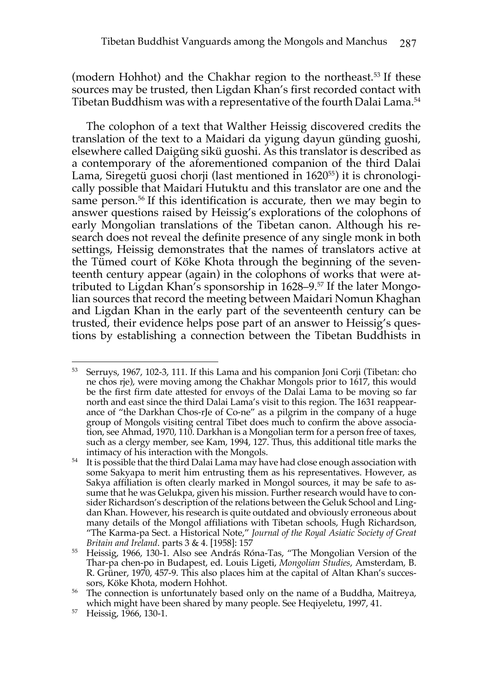(modern Hohhot) and the Chakhar region to the northeast. <sup>53</sup> If these sources may be trusted, then Ligdan Khan's first recorded contact with Tibetan Buddhism was with a representative of the fourth Dalai Lama.54

The colophon of a text that Walther Heissig discovered credits the translation of the text to a Maidari da yigung dayun günding guoshi, elsewhere called Daigüng sikü guoshi. As this translator is described as a contemporary of the aforementioned companion of the third Dalai Lama, Siregetü guosi chorji (last mentioned in 1620<sup>55</sup>) it is chronologically possible that Maidari Hutuktu and this translator are one and the same person.<sup>56</sup> If this identification is accurate, then we may begin to answer questions raised by Heissig's explorations of the colophons of early Mongolian translations of the Tibetan canon. Although his research does not reveal the definite presence of any single monk in both settings, Heissig demonstrates that the names of translators active at the Tümed court of Köke Khota through the beginning of the seventeenth century appear (again) in the colophons of works that were attributed to Ligdan Khan's sponsorship in 1628–9.57 If the later Mongolian sources that record the meeting between Maidari Nomun Khaghan and Ligdan Khan in the early part of the seventeenth century can be trusted, their evidence helps pose part of an answer to Heissig's questions by establishing a connection between the Tibetan Buddhists in

<sup>53</sup> Serruys, 1967, 102-3, 111. If this Lama and his companion Joni Corji (Tibetan: cho ne chos rje), were moving among the Chakhar Mongols prior to 1617, this would be the first firm date attested for envoys of the Dalai Lama to be moving so far north and east since the third Dalai Lama's visit to this region. The 1631 reappearance of "the Darkhan Chos-rJe of Co-ne" as a pilgrim in the company of a huge group of Mongols visiting central Tibet does much to confirm the above association, see Ahmad, 1970, 110. Darkhan is a Mongolian term for a person free of taxes, such as a clergy member, see Kam, 1994, 127. Thus, this additional title marks the intimacy of his interaction with the Mongols.

<sup>&</sup>lt;sup>54</sup> It is possible that the third Dalai Lama may have had close enough association with some Sakyapa to merit him entrusting them as his representatives. However, as Sakya affiliation is often clearly marked in Mongol sources, it may be safe to assume that he was Gelukpa, given his mission. Further research would have to consider Richardson's description of the relations between the Geluk School and Lingdan Khan. However, his research is quite outdated and obviously erroneous about many details of the Mongol affiliations with Tibetan schools, Hugh Richardson, "The Karma-pa Sect. a Historical Note," *Journal of the Royal Asiatic Society of Great Britain and Ireland*. parts 3 & 4. [1958]: 157

<sup>55</sup> Heissig, 1966, 130-1. Also see András Róna-Tas, "The Mongolian Version of the Thar-pa chen-po in Budapest, ed. Louis Ligeti, *Mongolian Studies*, Amsterdam, B. R. Grüner, 1970, 457-9. This also places him at the capital of Altan Khan's successors, Köke Khota, modern Hohhot.

<sup>&</sup>lt;sup>56</sup> The connection is unfortunately based only on the name of a Buddha, Maitreya, which might have been shared by many people. See Heqiyeletu, 1997, 41.

<sup>57</sup> Heissig, 1966, 130-1.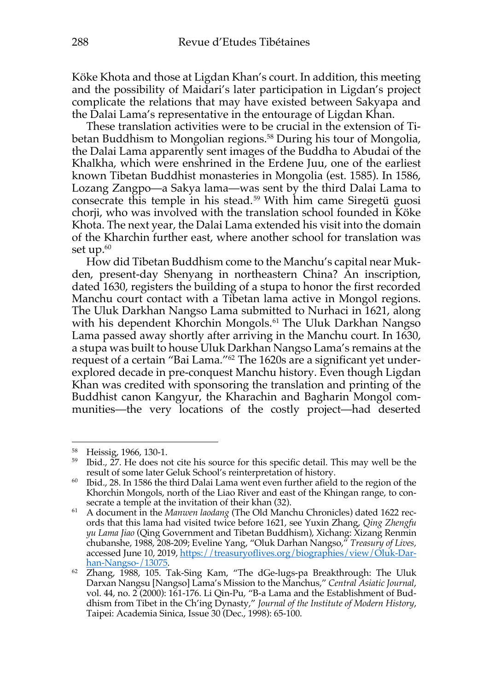Köke Khota and those at Ligdan Khan's court. In addition, this meeting and the possibility of Maidari's later participation in Ligdan's project complicate the relations that may have existed between Sakyapa and the Dalai Lama's representative in the entourage of Ligdan Khan.

These translation activities were to be crucial in the extension of Tibetan Buddhism to Mongolian regions.<sup>58</sup> During his tour of Mongolia, the Dalai Lama apparently sent images of the Buddha to Abudai of the Khalkha, which were enshrined in the Erdene Juu, one of the earliest known Tibetan Buddhist monasteries in Mongolia (est. 1585). In 1586, Lozang Zangpo—a Sakya lama—was sent by the third Dalai Lama to consecrate this temple in his stead.59 With him came Siregetü guosi chorji, who was involved with the translation school founded in Köke Khota. The next year, the Dalai Lama extended his visit into the domain of the Kharchin further east, where another school for translation was set up. $60$ 

How did Tibetan Buddhism come to the Manchu's capital near Mukden, present-day Shenyang in northeastern China? An inscription, dated 1630, registers the building of a stupa to honor the first recorded Manchu court contact with a Tibetan lama active in Mongol regions. The Uluk Darkhan Nangso Lama submitted to Nurhaci in 1621, along with his dependent Khorchin Mongols.<sup>61</sup> The Uluk Darkhan Nangso Lama passed away shortly after arriving in the Manchu court. In 1630, a stupa was built to house Uluk Darkhan Nangso Lama's remains at the request of a certain "Bai Lama."62 The 1620s are a significant yet underexplored decade in pre-conquest Manchu history. Even though Ligdan Khan was credited with sponsoring the translation and printing of the Buddhist canon Kangyur, the Kharachin and Bagharin Mongol communities—the very locations of the costly project—had deserted

<sup>&</sup>lt;sup>58</sup> Heissig, 1966, 130-1.<br><sup>59</sup> Ibid., 27. He does not cite his source for this specific detail. This may well be the result of some later Geluk School's reinterpretation of history.

 $60$  Ibid., 28. In 1586 the third Dalai Lama went even further afield to the region of the Khorchin Mongols, north of the Liao River and east of the Khingan range, to consecrate a temple at the invitation of their khan (32).

<sup>61</sup> A document in the *Manwen laodang* (The Old Manchu Chronicles) dated 1622 records that this lama had visited twice before 1621, see Yuxin Zhang, *Qing Zhengfu yu Lama Jiao* (Qing Government and Tibetan Buddhism), Xichang: Xizang Renmin chubanshe, 1988, 208-209; Eveline Yang, "Oluk Darhan Nangso," *Treasury of Lives,*  accessed June 10, 2019, https://treasuryoflives.org/biographies/view/Oluk-Darhan-Nangso-/13075.

<sup>62</sup> Zhang, 1988, 105. Tak-Sing Kam, "The dGe-lugs-pa Breakthrough: The Uluk Darxan Nangsu [Nangso] Lama's Mission to the Manchus," *Central Asiatic Journal*, vol. 44, no. 2 (2000): 161-176. Li Qin-Pu, "B-a Lama and the Establishment of Buddhism from Tibet in the Ch'ing Dynasty," *Journal of the Institute of Modern History*, Taipei: Academia Sinica, Issue 30 (Dec., 1998): 65-100.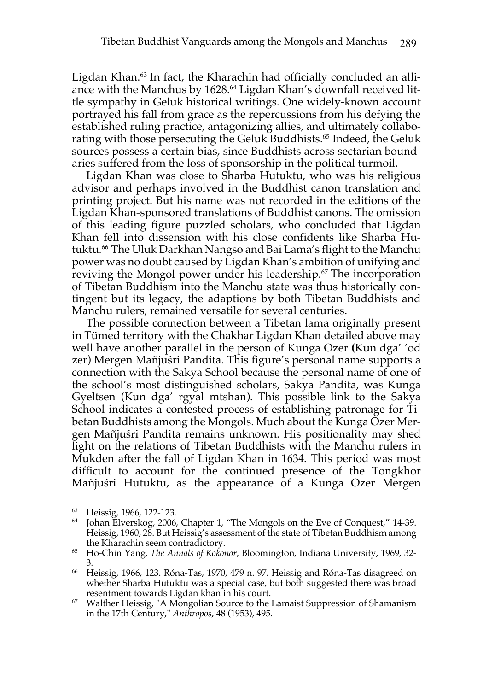Ligdan Khan.63 In fact, the Kharachin had officially concluded an alliance with the Manchus by 1628.64 Ligdan Khan's downfall received little sympathy in Geluk historical writings. One widely-known account portrayed his fall from grace as the repercussions from his defying the established ruling practice, antagonizing allies, and ultimately collaborating with those persecuting the Geluk Buddhists.<sup>65</sup> Indeed, the Geluk sources possess a certain bias, since Buddhists across sectarian boundaries suffered from the loss of sponsorship in the political turmoil.

Ligdan Khan was close to Sharba Hutuktu, who was his religious advisor and perhaps involved in the Buddhist canon translation and printing project. But his name was not recorded in the editions of the Ligdan Khan-sponsored translations of Buddhist canons. The omission of this leading figure puzzled scholars, who concluded that Ligdan Khan fell into dissension with his close confidents like Sharba Hutuktu.<sup>66</sup> The Uluk Darkhan Nangso and Bai Lama's flight to the Manchu power was no doubt caused by Ligdan Khan's ambition of unifying and reviving the Mongol power under his leadership.<sup>67</sup> The incorporation of Tibetan Buddhism into the Manchu state was thus historically contingent but its legacy, the adaptions by both Tibetan Buddhists and Manchu rulers, remained versatile for several centuries.

The possible connection between a Tibetan lama originally present in Tümed territory with the Chakhar Ligdan Khan detailed above may well have another parallel in the person of Kunga Ozer **(**Kun dga' 'od zer) Mergen Mañjuśri Pandita. This figure's personal name supports a connection with the Sakya School because the personal name of one of the school's most distinguished scholars, Sakya Pandita, was Kunga Gyeltsen (Kun dga' rgyal mtshan). This possible link to the Sakya School indicates a contested process of establishing patronage for Tibetan Buddhists among the Mongols. Much about the Kunga Ozer Mergen Mañjuśri Pandita remains unknown. His positionality may shed light on the relations of Tibetan Buddhists with the Manchu rulers in Mukden after the fall of Ligdan Khan in 1634. This period was most difficult to account for the continued presence of the Tongkhor Mañjuśri Hutuktu, as the appearance of a Kunga Ozer Mergen

<sup>&</sup>lt;sup>63</sup> Heissig, 1966, 122-123.<br><sup>64</sup> Johan Elverskog, 2006, Chapter 1, "The Mongols on the Eve of Conquest," 14-39. Heissig, 1960, 28. But Heissig's assessment of the state of Tibetan Buddhism among the Kharachin seem contradictory.

<sup>65</sup> Ho-Chin Yang, *The Annals of Kokonor*, Bloomington, Indiana University, 1969, 32-

<sup>&</sup>lt;sup>66</sup> Heissig, 1966, 123. Róna-Tas, 1970, 479 n. 97. Heissig and Róna-Tas disagreed on whether Sharba Hutuktu was a special case, but both suggested there was broad resentment towards Ligdan khan in his court.

<sup>&</sup>lt;sup>67</sup> Walther Heissig, "A Mongolian Source to the Lamaist Suppression of Shamanism in the 17th Century," *Anthropos*, 48 (1953), 495.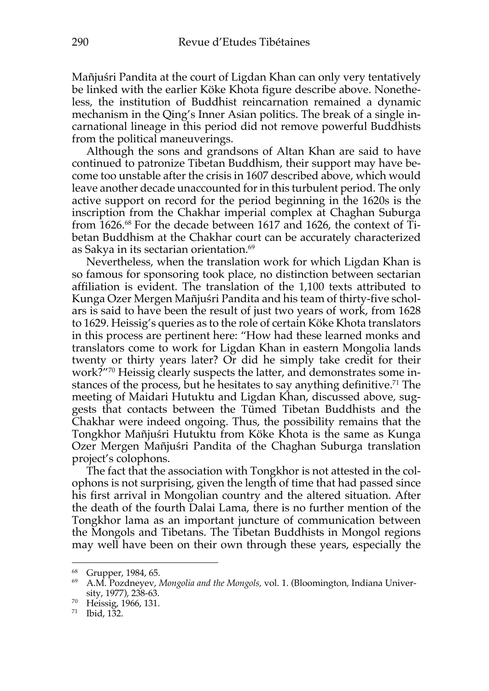Mañjuśri Pandita at the court of Ligdan Khan can only very tentatively be linked with the earlier Köke Khota figure describe above. Nonetheless, the institution of Buddhist reincarnation remained a dynamic mechanism in the Qing's Inner Asian politics. The break of a single incarnational lineage in this period did not remove powerful Buddhists from the political maneuverings.

Although the sons and grandsons of Altan Khan are said to have continued to patronize Tibetan Buddhism, their support may have become too unstable after the crisis in 1607 described above, which would leave another decade unaccounted for in this turbulent period. The only active support on record for the period beginning in the 1620s is the inscription from the Chakhar imperial complex at Chaghan Suburga from 1626.68 For the decade between 1617 and 1626, the context of Tibetan Buddhism at the Chakhar court can be accurately characterized as Sakya in its sectarian orientation. 69

Nevertheless, when the translation work for which Ligdan Khan is so famous for sponsoring took place, no distinction between sectarian affiliation is evident. The translation of the 1,100 texts attributed to Kunga Ozer Mergen Mañjuśri Pandita and his team of thirty-five scholars is said to have been the result of just two years of work, from 1628 to 1629. Heissig's queries as to the role of certain Köke Khota translators in this process are pertinent here: "How had these learned monks and translators come to work for Ligdan Khan in eastern Mongolia lands twenty or thirty years later? Or did he simply take credit for their work?"70 Heissig clearly suspects the latter, and demonstrates some instances of the process, but he hesitates to say anything definitive.<sup>71</sup> The meeting of Maidari Hutuktu and Ligdan Khan, discussed above, suggests that contacts between the Tümed Tibetan Buddhists and the Chakhar were indeed ongoing. Thus, the possibility remains that the Tongkhor Mañjuśri Hutuktu from Köke Khota is the same as Kunga Ozer Mergen Mañjuśri Pandita of the Chaghan Suburga translation project's colophons.

The fact that the association with Tongkhor is not attested in the colophons is not surprising, given the length of time that had passed since his first arrival in Mongolian country and the altered situation. After the death of the fourth Dalai Lama, there is no further mention of the Tongkhor lama as an important juncture of communication between the Mongols and Tibetans. The Tibetan Buddhists in Mongol regions may well have been on their own through these years, especially the

<sup>68</sup> Grupper, 1984, 65.

<sup>69</sup> A.M. Pozdneyev, *Mongolia and the Mongols,* vol. 1. (Bloomington, Indiana University, 1977), 238-63.

<sup>70</sup> Heissig, 1966, 131.

<sup>71</sup> Ibid, 132.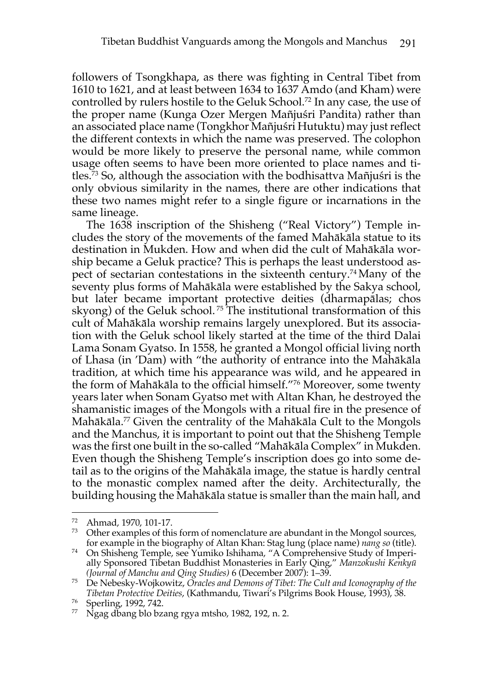followers of Tsongkhapa, as there was fighting in Central Tibet from 1610 to 1621, and at least between 1634 to 1637 Amdo (and Kham) were controlled by rulers hostile to the Geluk School. <sup>72</sup> In any case, the use of the proper name (Kunga Ozer Mergen Mañjuśri Pandita) rather than an associated place name (Tongkhor Mañjuśri Hutuktu) may just reflect the different contexts in which the name was preserved. The colophon would be more likely to preserve the personal name, while common usage often seems to have been more oriented to place names and titles.73 So, although the association with the bodhisattva Mañjuśri is the only obvious similarity in the names, there are other indications that these two names might refer to a single figure or incarnations in the same lineage.

The 1638 inscription of the Shisheng ("Real Victory") Temple includes the story of the movements of the famed Mahākāla statue to its destination in Mukden. How and when did the cult of Mahākāla worship became a Geluk practice? This is perhaps the least understood aspect of sectarian contestations in the sixteenth century.74 Many of the seventy plus forms of Mahākāla were established by the Sakya school, but later became important protective deities (dharmapālas; chos skyong) of the Geluk school.<sup>75</sup> The institutional transformation of this cult of Mahākāla worship remains largely unexplored. But its association with the Geluk school likely started at the time of the third Dalai Lama Sonam Gyatso. In 1558, he granted a Mongol official living north of Lhasa (in 'Dam) with "the authority of entrance into the Mahākāla tradition, at which time his appearance was wild, and he appeared in the form of Mahākāla to the official himself."76 Moreover, some twenty years later when Sonam Gyatso met with Altan Khan, he destroyed the shamanistic images of the Mongols with a ritual fire in the presence of Mahākāla.77 Given the centrality of the Mahākāla Cult to the Mongols and the Manchus, it is important to point out that the Shisheng Temple was the first one built in the so-called "Mahākāla Complex" in Mukden. Even though the Shisheng Temple's inscription does go into some detail as to the origins of the Mahākāla image, the statue is hardly central to the monastic complex named after the deity. Architecturally, the building housing the Mahākāla statue is smaller than the main hall, and

<sup>72</sup> Ahmad, 1970, 101-17.

 $73$  Other examples of this form of nomenclature are abundant in the Mongol sources, for example in the biography of Altan Khan: Stag lung (place name) *nang so* (title). 74 On Shisheng Temple, see Yumiko Ishihama, "A Comprehensive Study of Imperi-

ally Sponsored Tibetan Buddhist Monasteries in Early Qing," *Manzokushi Kenkyū (Journal of Manchu and Qing Studies)* 6 (December 2007): 1–39.

<sup>75</sup> De Nebesky-Wojkowitz, *Oracles and Demons of Tibet: The Cult and Iconography of the Tibetan Protective Deities*, (Kathmandu, Tiwari's Pilgrims Book House, 1993), 38. 76 Sperling, 1992, 742.

<sup>77</sup> Ngag dbang blo bzang rgya mtsho, 1982, 192, n. 2.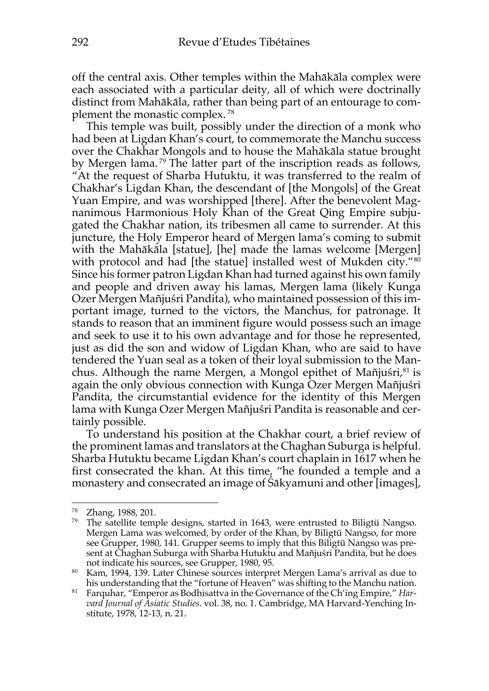off the central axis. Other temples within the Mahākāla complex were each associated with a particular deity, all of which were doctrinally distinct from Mahākāla, rather than being part of an entourage to complement the monastic complex. <sup>78</sup>

This temple was built, possibly under the direction of a monk who had been at Ligdan Khan's court, to commemorate the Manchu success over the Chakhar Mongols and to house the Mahākāla statue brought by Mergen lama. <sup>79</sup> The latter part of the inscription reads as follows, "At the request of Sharba Hutuktu, it was transferred to the realm of Chakhar's Ligdan Khan, the descendant of [the Mongols] of the Great Yuan Empire, and was worshipped [there]. After the benevolent Magnanimous Harmonious Holy Khan of the Great Qing Empire subjugated the Chakhar nation, its tribesmen all came to surrender. At this juncture, the Holy Emperor heard of Mergen lama's coming to submit with the Mahākāla [statue], [he] made the lamas welcome [Mergen] with protocol and had [the statue] installed west of Mukden city."80 Since his former patron Ligdan Khan had turned against his own family and people and driven away his lamas, Mergen lama (likely Kunga Ozer Mergen Mañjuśri Pandita), who maintained possession of this important image, turned to the victors, the Manchus, for patronage. It stands to reason that an imminent figure would possess such an image and seek to use it to his own advantage and for those he represented, just as did the son and widow of Ligdan Khan, who are said to have tendered the Yuan seal as a token of their loyal submission to the Manchus. Although the name Mergen, a Mongol epithet of Mañjuśri,<sup>81</sup> is again the only obvious connection with Kunga Ozer Mergen Mañjuśri Pandita, the circumstantial evidence for the identity of this Mergen lama with Kunga Ozer Mergen Mañjuśri Pandita is reasonable and certainly possible.

To understand his position at the Chakhar court, a brief review of the prominent lamas and translators at the Chaghan Suburga is helpful. Sharba Hutuktu became Ligdan Khan's court chaplain in 1617 when he first consecrated the khan. At this time, "he founded a temple and a monastery and consecrated an image of Śākyamuni and other [images],

<sup>78</sup> Zhang, 1988, 201.

 $79$  The satellite temple designs, started in 1643, were entrusted to Biligtü Nangso. Mergen Lama was welcomed, by order of the Khan, by Biligtü Nangso, for more see Grupper, 1980, 141. Grupper seems to imply that this Biligtü Nangso was present at Chaghan Suburga with Sharba Hutuktu and Mañjuśri Pandita, but he does not indicate his sources, see Grupper, 1980, 95.

<sup>80</sup> Kam, 1994, 139. Later Chinese sources interpret Mergen Lama's arrival as due to his understanding that the "fortune of Heaven" was shifting to the Manchu nation.

<sup>81</sup> Farquhar, "Emperor as Bodhisattva in the Governance of the Ch'ing Empire," *Harvard Journal of Asiatic Studies*. vol. 38, no. 1. Cambridge, MA Harvard-Yenching Institute, 1978, 12-13, n. 21.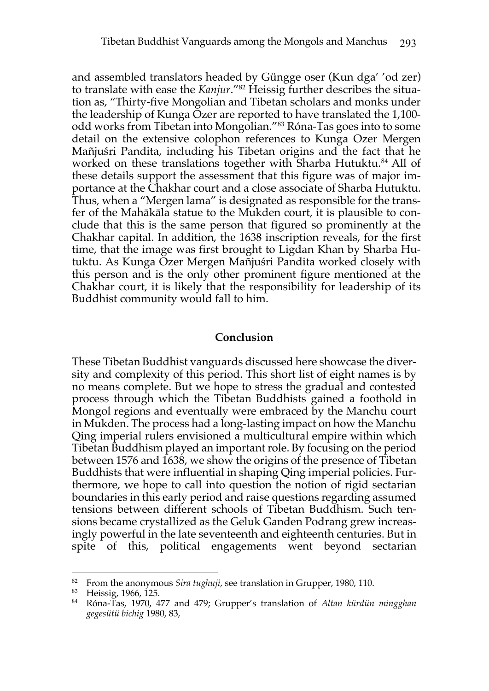and assembled translators headed by Güngge oser (Kun dga' 'od zer) to translate with ease the *Kanjur*."82 Heissig further describes the situation as, "Thirty-five Mongolian and Tibetan scholars and monks under the leadership of Kunga Ozer are reported to have translated the 1,100 odd works from Tibetan into Mongolian."83 Róna-Tas goes into to some detail on the extensive colophon references to Kunga Ozer Mergen Mañjuśri Pandita, including his Tibetan origins and the fact that he worked on these translations together with Sharba Hutuktu. <sup>84</sup> All of these details support the assessment that this figure was of major importance at the Chakhar court and a close associate of Sharba Hutuktu. Thus, when a "Mergen lama" is designated as responsible for the transfer of the Mahākāla statue to the Mukden court, it is plausible to conclude that this is the same person that figured so prominently at the Chakhar capital. In addition, the 1638 inscription reveals, for the first time, that the image was first brought to Ligdan Khan by Sharba Hutuktu. As Kunga Ozer Mergen Mañjuśri Pandita worked closely with this person and is the only other prominent figure mentioned at the Chakhar court, it is likely that the responsibility for leadership of its Buddhist community would fall to him.

#### **Conclusion**

These Tibetan Buddhist vanguards discussed here showcase the diversity and complexity of this period. This short list of eight names is by no means complete. But we hope to stress the gradual and contested process through which the Tibetan Buddhists gained a foothold in Mongol regions and eventually were embraced by the Manchu court in Mukden. The process had a long-lasting impact on how the Manchu Qing imperial rulers envisioned a multicultural empire within which Tibetan Buddhism played an important role. By focusing on the period between 1576 and 1638, we show the origins of the presence of Tibetan Buddhists that were influential in shaping Qing imperial policies. Furthermore, we hope to call into question the notion of rigid sectarian boundaries in this early period and raise questions regarding assumed tensions between different schools of Tibetan Buddhism. Such tensions became crystallized as the Geluk Ganden Podrang grew increasingly powerful in the late seventeenth and eighteenth centuries. But in spite of this, political engagements went beyond sectarian

<sup>&</sup>lt;sup>82</sup> From the anonymous *Sira tughuji*, see translation in Grupper, 1980, 110.<br><sup>83</sup> Heissig, 1966, 125.

<sup>&</sup>lt;sup>84</sup> Róna-Tas, 1970, 477 and 479; Grupper's translation of *Altan kürdün mingghan gegesütü bichig* 1980, 83,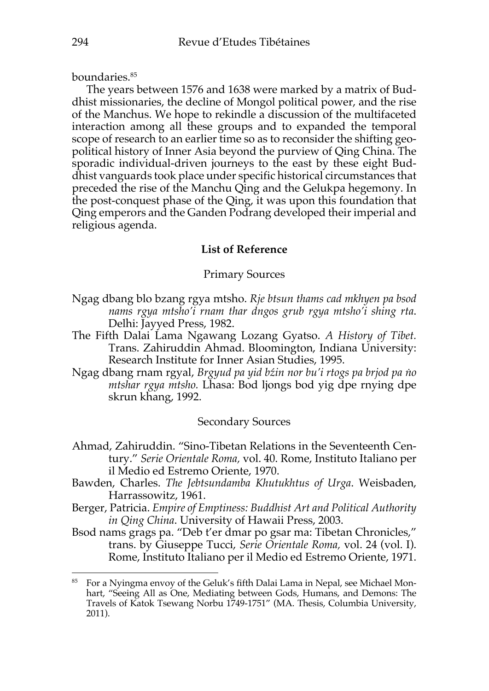boundaries.85

The years between 1576 and 1638 were marked by a matrix of Buddhist missionaries, the decline of Mongol political power, and the rise of the Manchus. We hope to rekindle a discussion of the multifaceted interaction among all these groups and to expanded the temporal scope of research to an earlier time so as to reconsider the shifting geopolitical history of Inner Asia beyond the purview of Qing China. The sporadic individual-driven journeys to the east by these eight Buddhist vanguards took place under specific historical circumstances that preceded the rise of the Manchu Qing and the Gelukpa hegemony. In the post-conquest phase of the Qing, it was upon this foundation that Qing emperors and the Ganden Podrang developed their imperial and religious agenda.

# **List of Reference**

### Primary Sources

- Ngag dbang blo bzang rgya mtsho. *Rje btsun thams cad mkhyen pa bsod nams rgya mtsho'i rnam thar dngos grub rgya mtsho'i shing rta*. Delhi: Jayyed Press, 1982.
- The Fifth Dalai Lama Ngawang Lozang Gyatso. *A History of Tibet.*  Trans. Zahiruddin Ahmad. Bloomington, Indiana University: Research Institute for Inner Asian Studies, 1995.
- Ngag dbang rnam rgyal, *Brgyud pa yid bźin nor bu'i rtogs pa brjod pa ṅo mtshar rgya mtsho.* Lhasa: Bod ljongs bod yig dpe rnying dpe skrun khang, 1992.

# Secondary Sources

- Ahmad, Zahiruddin. "Sino-Tibetan Relations in the Seventeenth Century." *Serie Orientale Roma,* vol. 40. Rome, Instituto Italiano per il Medio ed Estremo Oriente, 1970.
- Bawden, Charles. *The Jebtsundamba Khutukhtus of Urga*. Weisbaden, Harrassowitz, 1961.
- Berger, Patricia. *Empire of Emptiness: Buddhist Art and Political Authority in Qing China*. University of Hawaii Press, 2003.
- Bsod nams grags pa. "Deb t'er dmar po gsar ma: Tibetan Chronicles," trans. by Giuseppe Tucci, *Serie Orientale Roma,* vol. 24 (vol. I). Rome, Instituto Italiano per il Medio ed Estremo Oriente, 1971.

<sup>&</sup>lt;sup>85</sup> For a Nyingma envoy of the Geluk's fifth Dalai Lama in Nepal, see Michael Monhart, "Seeing All as One, Mediating between Gods, Humans, and Demons: The Travels of Katok Tsewang Norbu 1749-1751" (MA. Thesis, Columbia University, 2011).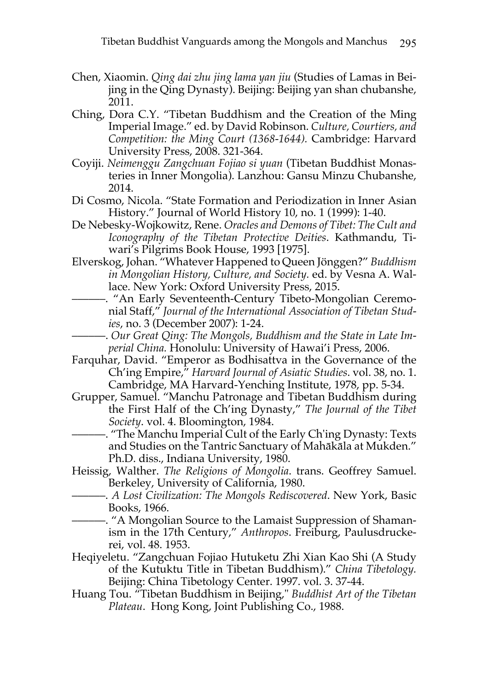- Chen, Xiaomin. *Qing dai zhu jing lama yan jiu* (Studies of Lamas in Beijing in the Qing Dynasty). Beijing: Beijing yan shan chubanshe, 2011.
- Ching, Dora C.Y. "Tibetan Buddhism and the Creation of the Ming Imperial Image." ed. by David Robinson. *Culture, Courtiers, and Competition: the Ming Court (1368-1644).* Cambridge: Harvard University Press, 2008. 321-364.
- Coyiji. *Neimenggu Zangchuan Fojiao si yuan* (Tibetan Buddhist Monasteries in Inner Mongolia). Lanzhou: Gansu Minzu Chubanshe, 2014.
- Di Cosmo, Nicola. "State Formation and Periodization in Inner Asian History." Journal of World History 10, no. 1 (1999): 1-40.
- De Nebesky-Wojkowitz, Rene. *Oracles and Demons of Tibet: The Cult and Iconography of the Tibetan Protective Deities*. Kathmandu, Tiwari's Pilgrims Book House, 1993 [1975].
- Elverskog, Johan. "Whatever Happened to Queen Jönggen?" *Buddhism in Mongolian History, Culture, and Society.* ed. by Vesna A. Wallace. New York: Oxford University Press, 2015.
	- ––––––. "An Early Seventeenth-Century Tibeto-Mongolian Ceremonial Staff," *Journal of the International Association of Tibetan Studies*, no. 3 (December 2007): 1-24.
	- ––––––. *Our Great Qing: The Mongols, Buddhism and the State in Late Imperial China.* Honolulu: University of Hawai'i Press, 2006.
- Farquhar, David. "Emperor as Bodhisattva in the Governance of the Ch'ing Empire," *Harvard Journal of Asiatic Studies*. vol. 38, no. 1. Cambridge, MA Harvard-Yenching Institute, 1978, pp. 5-34.
- Grupper, Samuel. "Manchu Patronage and Tibetan Buddhism during the First Half of the Ch'ing Dynasty," *The Journal of the Tibet Society*. vol. 4. Bloomington, 1984.
- ––––––. "The Manchu Imperial Cult of the Early Ch'ing Dynasty: Texts and Studies on the Tantric Sanctuary of Mahākāla at Mukden." Ph.D. diss., Indiana University, 1980.
- Heissig, Walther. *The Religions of Mongolia*. trans. Geoffrey Samuel. Berkeley, University of California, 1980.
	- ––––––. *A Lost Civilization: The Mongols Rediscovered*. New York, Basic Books, 1966.
- ––––––. "A Mongolian Source to the Lamaist Suppression of Shamanism in the 17th Century," *Anthropos*. Freiburg, Paulusdruckerei, vol. 48. 1953.
- Heqiyeletu. "Zangchuan Fojiao Hutuketu Zhi Xian Kao Shi (A Study of the Kutuktu Title in Tibetan Buddhism)." *China Tibetology.*  Beijing: China Tibetology Center. 1997. vol. 3. 37-44.
- Huang Tou. "Tibetan Buddhism in Beijing," *Buddhist Art of the Tibetan Plateau*. Hong Kong, Joint Publishing Co., 1988.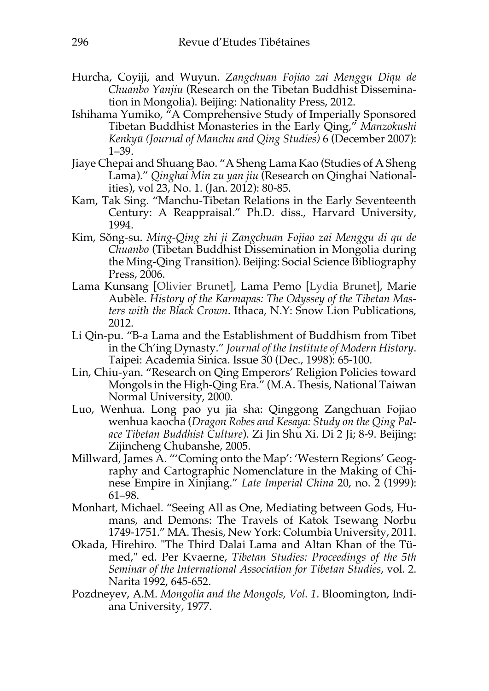- Hurcha, Coyiji, and Wuyun. *Zangchuan Fojiao zai Menggu Diqu de Chuanbo Yanjiu* (Research on the Tibetan Buddhist Dissemination in Mongolia). Beijing: Nationality Press, 2012.
- Ishihama Yumiko, "A Comprehensive Study of Imperially Sponsored Tibetan Buddhist Monasteries in the Early Qing," *Manzokushi Kenkyū (Journal of Manchu and Qing Studies)* 6 (December 2007): 1–39.
- Jiaye Chepai and Shuang Bao. "A Sheng Lama Kao (Studies of A Sheng Lama)." *Qinghai Min zu yan jiu* (Research on Qinghai Nationalities), vol 23, No. 1. (Jan. 2012): 80-85.
- Kam, Tak Sing. "Manchu-Tibetan Relations in the Early Seventeenth Century: A Reappraisal." Ph.D. diss., Harvard University, 1994.
- Kim, Sŏng-su. *Ming-Qing zhi ji Zangchuan Fojiao zai Menggu di qu de Chuanbo* (Tibetan Buddhist Dissemination in Mongolia during the Ming-Qing Transition). Beijing: Social Science Bibliography Press, 2006.
- Lama Kunsang [Olivier Brunet], Lama Pemo [Lydia Brunet], Marie Aubèle. *History of the Karmapas: The Odyssey of the Tibetan Masters with the Black Crown*. Ithaca, N.Y: Snow Lion Publications, 2012.
- Li Qin-pu. "B-a Lama and the Establishment of Buddhism from Tibet in the Ch'ing Dynasty." *Journal of the Institute of Modern History*. Taipei: Academia Sinica. Issue 30 (Dec., 1998): 65-100.
- Lin, Chiu-yan. "Research on Qing Emperors' Religion Policies toward Mongols in the High-Qing Era." (M.A. Thesis, National Taiwan Normal University, 2000.
- Luo, Wenhua. Long pao yu jia sha: Qinggong Zangchuan Fojiao wenhua kaocha (*Dragon Robes and Kesaya: Study on the Qing Palace Tibetan Buddhist Culture*). Zi Jin Shu Xi. Di 2 Ji; 8-9. Beijing: Zijincheng Chubanshe, 2005.
- Millward, James A. "'Coming onto the Map': 'Western Regions' Geography and Cartographic Nomenclature in the Making of Chinese Empire in Xinjiang." *Late Imperial China* 20, no. 2 (1999): 61–98.
- Monhart, Michael. "Seeing All as One, Mediating between Gods, Humans, and Demons: The Travels of Katok Tsewang Norbu 1749-1751." MA. Thesis, New York: Columbia University, 2011.
- Okada, Hirehiro. "The Third Dalai Lama and Altan Khan of the Tümed," ed. Per Kvaerne, *Tibetan Studies: Proceedings of the 5th Seminar of the International Association for Tibetan Studies*, vol. 2. Narita 1992, 645-652.
- Pozdneyev, A.M. *Mongolia and the Mongols, Vol. 1*. Bloomington, Indiana University, 1977.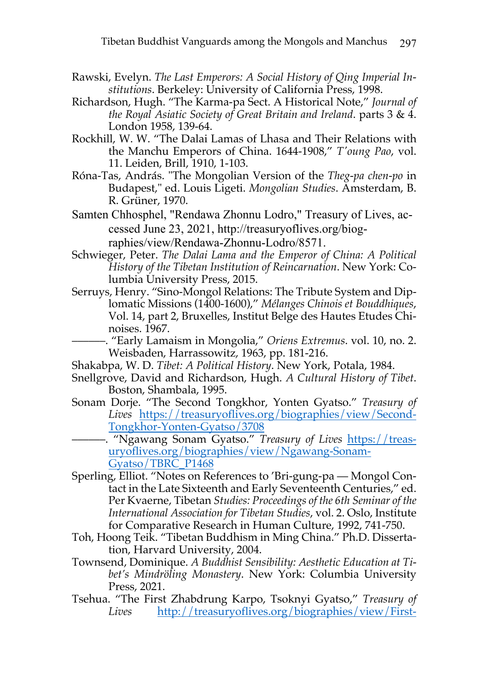- Rawski, Evelyn. *The Last Emperors: A Social History of Qing Imperial Institutions*. Berkeley: University of California Press, 1998.
- Richardson, Hugh. "The Karma-pa Sect. A Historical Note," *Journal of the Royal Asiatic Society of Great Britain and Ireland*. parts 3 & 4. London 1958, 139-64.
- Rockhill, W. W. "The Dalai Lamas of Lhasa and Their Relations with the Manchu Emperors of China. 1644-1908," *T'oung Pao*, vol. 11. Leiden, Brill, 1910, 1-103.
- Róna-Tas, András. "The Mongolian Version of the *Theg-pa chen-po* in Budapest," ed. Louis Ligeti. *Mongolian Studies*. Amsterdam, B. R. Grüner, 1970.
- Samten Chhosphel, "Rendawa Zhonnu Lodro," Treasury of Lives, accessed June 23, 2021, http://treasuryoflives.org/biographies/view/Rendawa-Zhonnu-Lodro/8571.
- Schwieger, Peter. *The Dalai Lama and the Emperor of China: A Political History of the Tibetan Institution of Reincarnation*. New York: Columbia University Press, 2015.
- Serruys, Henry. "Sino-Mongol Relations: The Tribute System and Diplomatic Missions (1400-1600)," *Mélanges Chinois et Bouddhiques*, Vol. 14, part 2, Bruxelles, Institut Belge des Hautes Etudes Chinoises. 1967.
	- ––––––. "Early Lamaism in Mongolia," *Oriens Extremus*. vol. 10, no. 2. Weisbaden, Harrassowitz, 1963, pp. 181-216.
- Shakabpa, W. D. *Tibet: A Political History*. New York, Potala, 1984.
- Snellgrove, David and Richardson, Hugh. *A Cultural History of Tibet*. Boston, Shambala, 1995.
- Sonam Dorje. "The Second Tongkhor, Yonten Gyatso." *Treasury of*  Lives https://treasuryoflives.org/biographies/view/Second-Tongkhor-Yonten-Gyatso/3708
	- ––––––. "Ngawang Sonam Gyatso." *Treasury of Lives* https://treasuryoflives.org/biographies/view/Ngawang-Sonam-Gyatso/TBRC\_P1468
- Sperling, Elliot. "Notes on References to 'Bri-gung-pa Mongol Contact in the Late Sixteenth and Early Seventeenth Centuries," ed. Per Kvaerne, Tibetan *Studies: Proceedings of the 6th Seminar of the International Association for Tibetan Studies*, vol. 2. Oslo, Institute for Comparative Research in Human Culture, 1992, 741-750.
- Toh, Hoong Teik. "Tibetan Buddhism in Ming China." Ph.D. Dissertation, Harvard University, 2004.
- Townsend, Dominique. *A Buddhist Sensibility: Aesthetic Education at Tibet's Mindröling Monastery*. New York: Columbia University Press, 2021.
- Tsehua. "The First Zhabdrung Karpo, Tsoknyi Gyatso," *Treasury of Lives* http://treasuryoflives.org/biographies/view/First-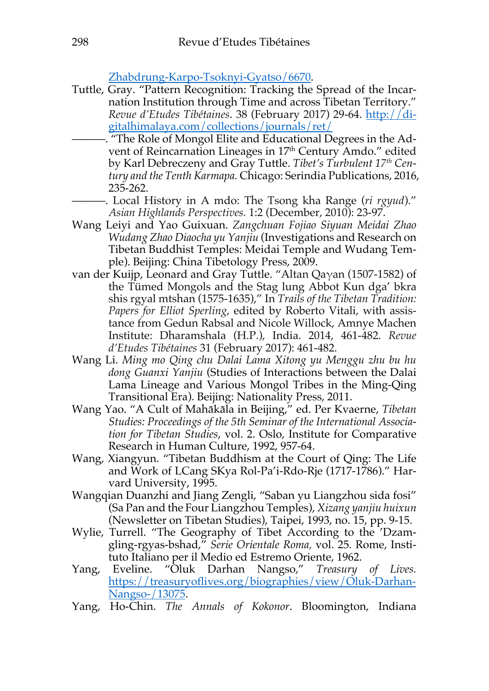Zhabdrung-Karpo-Tsoknyi-Gyatso/6670.

- Tuttle, Gray. "Pattern Recognition: Tracking the Spread of the Incarnation Institution through Time and across Tibetan Territory." *Revue d'Etudes Tibétaines*. 38 (February 2017) 29-64. http://digitalhimalaya.com/collections/journals/ret/
	- ––––––. "The Role of Mongol Elite and Educational Degrees in the Advent of Reincarnation Lineages in 17<sup>th</sup> Century Amdo." edited by Karl Debreczeny and Gray Tuttle. *Tibet's Turbulent 17th Century and the Tenth Karmapa.* Chicago: Serindia Publications, 2016, 235-262.
- ––––––. Local History in A mdo: The Tsong kha Range (*ri rgyud*)." *Asian Highlands Perspectives.* 1:2 (December, 2010): 23-97.
- Wang Leiyi and Yao Guixuan. *Zangchuan Fojiao Siyuan Meidai Zhao Wudang Zhao Diaocha yu Yanjiu* (Investigations and Research on Tibetan Buddhist Temples: Meidai Temple and Wudang Temple). Beijing: China Tibetology Press, 2009.
- van der Kuijp, Leonard and Gray Tuttle. "Altan Qaγan (1507-1582) of the Tümed Mongols and the Stag lung Abbot Kun dga' bkra shis rgyal mtshan (1575-1635)," In *Trails of the Tibetan Tradition: Papers for Elliot Sperling*, edited by Roberto Vitali, with assistance from Gedun Rabsal and Nicole Willock, Amnye Machen Institute: Dharamshala (H.P.), India. 2014, 461-482. *Revue d'Etudes Tibétaines* 31 (February 2017): 461-482.
- Wang Li. *Ming mo Qing chu Dalai Lama Xitong yu Menggu zhu bu hu dong Guanxi Yanjiu* (Studies of Interactions between the Dalai Lama Lineage and Various Mongol Tribes in the Ming-Qing Transitional Era). Beijing: Nationality Press, 2011.
- Wang Yao. "A Cult of Mahākāla in Beijing," ed. Per Kvaerne, *Tibetan Studies: Proceedings of the 5th Seminar of the International Association for Tibetan Studies*, vol. 2. Oslo, Institute for Comparative Research in Human Culture, 1992, 957-64.
- Wang, Xiangyun. "Tibetan Buddhism at the Court of Qing: The Life and Work of LCang SKya Rol-Pa'i-Rdo-Rje (1717-1786)." Harvard University, 1995.
- Wangqian Duanzhi and Jiang Zengli, "Saban yu Liangzhou sida fosi" (Sa Pan and the Four Liangzhou Temples), *Xizang yanjiu huixun* (Newsletter on Tibetan Studies), Taipei, 1993, no. 15, pp. 9-15.
- Wylie, Turrell. "The Geography of Tibet According to the 'Dzamgling-rgyas-bshad," *Serie Orientale Roma,* vol. 25. Rome, Instituto Italiano per il Medio ed Estremo Oriente, 1962.
- Yang, Eveline. "Oluk Darhan Nangso," *Treasury of Lives.*  https://treasuryoflives.org/biographies/view/Oluk-Darhan-Nangso-/13075.
- Yang, Ho-Chin. *The Annals of Kokonor*. Bloomington, Indiana